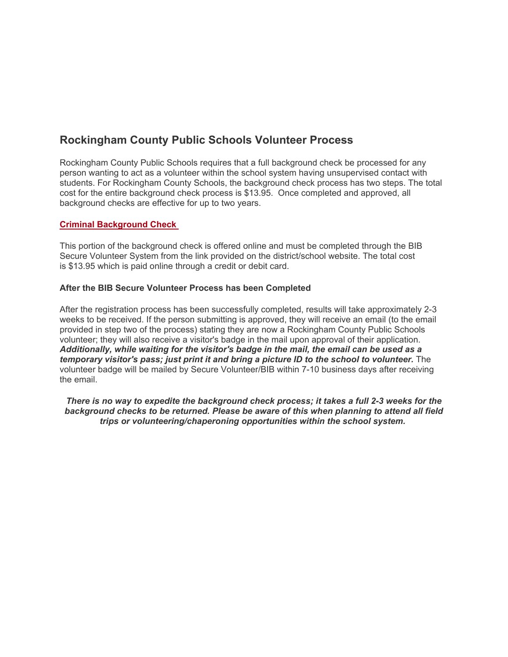# **Rockingham County Public Schools Volunteer Process**

Rockingham County Public Schools requires that a full background check be processed for any person wanting to act as a volunteer within the school system having unsupervised contact with students. For Rockingham County Schools, the background check process has two steps. The total cost for the entire background check process is \$13.95. Once completed and approved, all background checks are effective for up to two years.

## **Criminal Background Check**

This portion of the background check is offered online and must be completed through the BIB Secure Volunteer System from the link provided on the district/school website. The total cost is \$13.95 which is paid online through a credit or debit card.

## **After the BIB Secure Volunteer Process has been Completed**

After the registration process has been successfully completed, results will take approximately 2-3 weeks to be received. If the person submitting is approved, they will receive an email (to the email provided in step two of the process) stating they are now a Rockingham County Public Schools volunteer; they will also receive a visitor's badge in the mail upon approval of their application. *Additionally, while waiting for the visitor's badge in the mail, the email can be used as a temporary visitor's pass; just print it and bring a picture ID to the school to volunteer.* The volunteer badge will be mailed by Secure Volunteer/BIB within 7-10 business days after receiving the email.

*There is no way to expedite the background check process; it takes a full 2-3 weeks for the background checks to be returned. Please be aware of this when planning to attend all field trips or volunteering/chaperoning opportunities within the school system.*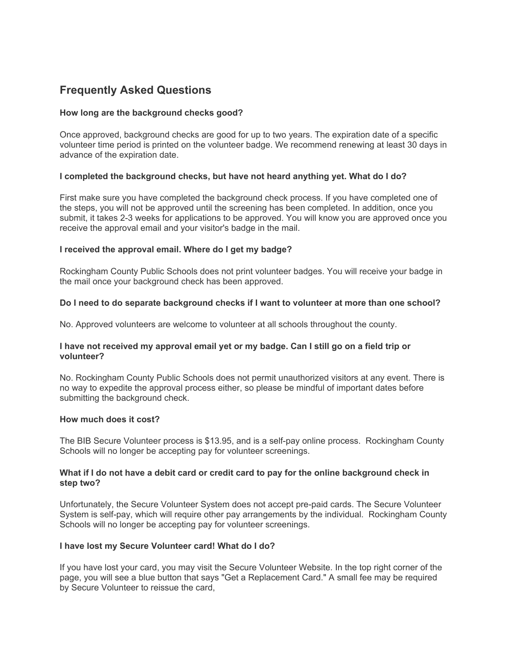## **Frequently Asked Questions**

## **How long are the background checks good?**

Once approved, background checks are good for up to two years. The expiration date of a specific volunteer time period is printed on the volunteer badge. We recommend renewing at least 30 days in advance of the expiration date.

#### **I completed the background checks, but have not heard anything yet. What do I do?**

First make sure you have completed the background check process. If you have completed one of the steps, you will not be approved until the screening has been completed. In addition, once you submit, it takes 2-3 weeks for applications to be approved. You will know you are approved once you receive the approval email and your visitor's badge in the mail.

#### **I received the approval email. Where do I get my badge?**

Rockingham County Public Schools does not print volunteer badges. You will receive your badge in the mail once your background check has been approved.

#### **Do I need to do separate background checks if I want to volunteer at more than one school?**

No. Approved volunteers are welcome to volunteer at all schools throughout the county.

#### **I have not received my approval email yet or my badge. Can I still go on a field trip or volunteer?**

No. Rockingham County Public Schools does not permit unauthorized visitors at any event. There is no way to expedite the approval process either, so please be mindful of important dates before submitting the background check.

#### **How much does it cost?**

The BIB Secure Volunteer process is \$13.95, and is a self-pay online process. Rockingham County Schools will no longer be accepting pay for volunteer screenings.

#### **What if I do not have a debit card or credit card to pay for the online background check in step two?**

Unfortunately, the Secure Volunteer System does not accept pre-paid cards. The Secure Volunteer System is self-pay, which will require other pay arrangements by the individual. Rockingham County Schools will no longer be accepting pay for volunteer screenings.

#### **I have lost my Secure Volunteer card! What do I do?**

If you have lost your card, you may visit the Secure Volunteer Website. In the top right corner of the page, you will see a blue button that says "Get a Replacement Card." A small fee may be required by Secure Volunteer to reissue the card,